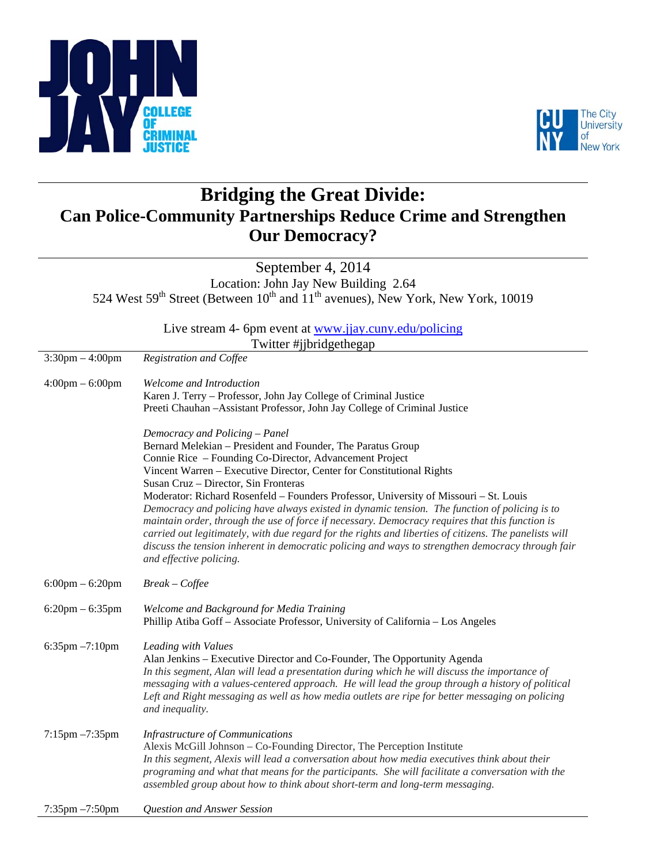



## **Bridging the Great Divide: Can Police-Community Partnerships Reduce Crime and Strengthen Our Democracy?**

September 4, 2014 Location: John Jay New Building 2.64 524 West 59<sup>th</sup> Street (Between  $10^{th}$  and  $11^{th}$  avenues), New York, New York, 10019

> Live stream 4- 6pm event at www.jjay.cuny.edu/policing Twitter #jibridgethegap

|                                   | $1$ which allottagemes ap                                                                                                                                                                                                                                                                                                                                                                                                                                                                                                                                                                                                                                                                                                                                                                                        |
|-----------------------------------|------------------------------------------------------------------------------------------------------------------------------------------------------------------------------------------------------------------------------------------------------------------------------------------------------------------------------------------------------------------------------------------------------------------------------------------------------------------------------------------------------------------------------------------------------------------------------------------------------------------------------------------------------------------------------------------------------------------------------------------------------------------------------------------------------------------|
| $3:30$ pm $-4:00$ pm              | Registration and Coffee                                                                                                                                                                                                                                                                                                                                                                                                                                                                                                                                                                                                                                                                                                                                                                                          |
| $4:00 \text{pm} - 6:00 \text{pm}$ | Welcome and Introduction<br>Karen J. Terry - Professor, John Jay College of Criminal Justice<br>Preeti Chauhan - Assistant Professor, John Jay College of Criminal Justice                                                                                                                                                                                                                                                                                                                                                                                                                                                                                                                                                                                                                                       |
|                                   | Democracy and Policing - Panel<br>Bernard Melekian – President and Founder, The Paratus Group<br>Connie Rice – Founding Co-Director, Advancement Project<br>Vincent Warren - Executive Director, Center for Constitutional Rights<br>Susan Cruz - Director, Sin Fronteras<br>Moderator: Richard Rosenfeld - Founders Professor, University of Missouri - St. Louis<br>Democracy and policing have always existed in dynamic tension. The function of policing is to<br>maintain order, through the use of force if necessary. Democracy requires that this function is<br>carried out legitimately, with due regard for the rights and liberties of citizens. The panelists will<br>discuss the tension inherent in democratic policing and ways to strengthen democracy through fair<br>and effective policing. |
| $6:00 \text{pm} - 6:20 \text{pm}$ | $Break - Coffee$                                                                                                                                                                                                                                                                                                                                                                                                                                                                                                                                                                                                                                                                                                                                                                                                 |
| $6:20$ pm $-6:35$ pm              | Welcome and Background for Media Training<br>Phillip Atiba Goff - Associate Professor, University of California - Los Angeles                                                                                                                                                                                                                                                                                                                                                                                                                                                                                                                                                                                                                                                                                    |
| 6:35pm -7:10pm                    | Leading with Values<br>Alan Jenkins – Executive Director and Co-Founder, The Opportunity Agenda<br>In this segment, Alan will lead a presentation during which he will discuss the importance of<br>messaging with a values-centered approach. He will lead the group through a history of political<br>Left and Right messaging as well as how media outlets are ripe for better messaging on policing<br>and inequality.                                                                                                                                                                                                                                                                                                                                                                                       |
| $7:15$ pm $-7:35$ pm              | Infrastructure of Communications<br>Alexis McGill Johnson – Co-Founding Director, The Perception Institute<br>In this segment, Alexis will lead a conversation about how media executives think about their<br>programing and what that means for the participants. She will facilitate a conversation with the<br>assembled group about how to think about short-term and long-term messaging.                                                                                                                                                                                                                                                                                                                                                                                                                  |
| 7:35pm -7:50pm                    | Question and Answer Session                                                                                                                                                                                                                                                                                                                                                                                                                                                                                                                                                                                                                                                                                                                                                                                      |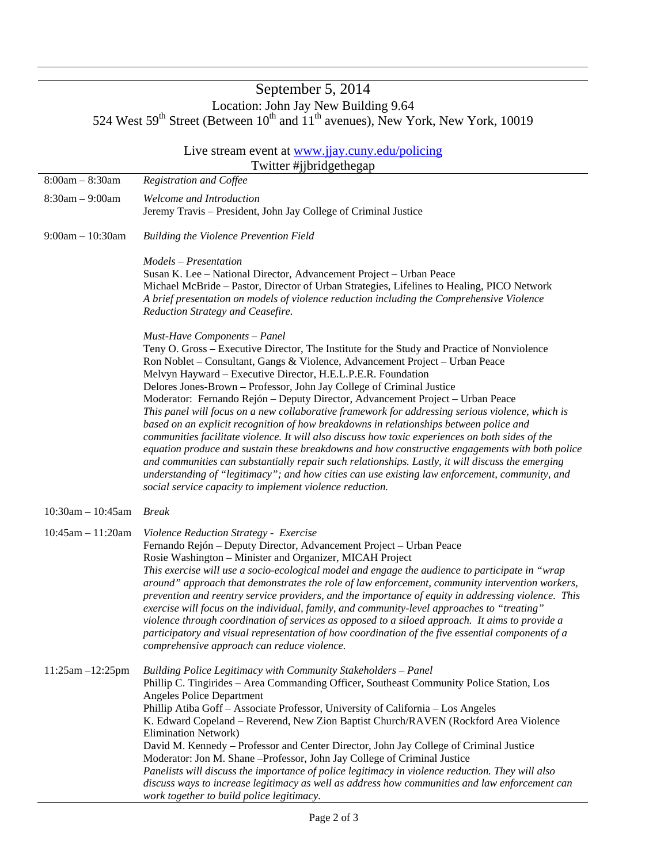## September 5, 2014 Location: John Jay New Building 9.64 524 West 59<sup>th</sup> Street (Between  $10^{th}$  and  $11^{th}$  avenues), New York, New York, 10019

| Live stream event at www.jjay.cuny.edu/policing |                                                                                                                                                                                                                                                                                                                                                                                                                                                                                                                                                                                                                                                                                                                                                                                                                                                                                                                                                                                                                                                                                                                |
|-------------------------------------------------|----------------------------------------------------------------------------------------------------------------------------------------------------------------------------------------------------------------------------------------------------------------------------------------------------------------------------------------------------------------------------------------------------------------------------------------------------------------------------------------------------------------------------------------------------------------------------------------------------------------------------------------------------------------------------------------------------------------------------------------------------------------------------------------------------------------------------------------------------------------------------------------------------------------------------------------------------------------------------------------------------------------------------------------------------------------------------------------------------------------|
|                                                 | Twitter #jjbridgethegap                                                                                                                                                                                                                                                                                                                                                                                                                                                                                                                                                                                                                                                                                                                                                                                                                                                                                                                                                                                                                                                                                        |
| $8:00am - 8:30am$                               | <b>Registration and Coffee</b>                                                                                                                                                                                                                                                                                                                                                                                                                                                                                                                                                                                                                                                                                                                                                                                                                                                                                                                                                                                                                                                                                 |
| $8:30am - 9:00am$                               | Welcome and Introduction<br>Jeremy Travis - President, John Jay College of Criminal Justice                                                                                                                                                                                                                                                                                                                                                                                                                                                                                                                                                                                                                                                                                                                                                                                                                                                                                                                                                                                                                    |
| $9:00am - 10:30am$                              | <b>Building the Violence Prevention Field</b>                                                                                                                                                                                                                                                                                                                                                                                                                                                                                                                                                                                                                                                                                                                                                                                                                                                                                                                                                                                                                                                                  |
|                                                 | Models - Presentation<br>Susan K. Lee - National Director, Advancement Project - Urban Peace<br>Michael McBride - Pastor, Director of Urban Strategies, Lifelines to Healing, PICO Network<br>A brief presentation on models of violence reduction including the Comprehensive Violence<br>Reduction Strategy and Ceasefire.                                                                                                                                                                                                                                                                                                                                                                                                                                                                                                                                                                                                                                                                                                                                                                                   |
|                                                 | Must-Have Components - Panel<br>Teny O. Gross – Executive Director, The Institute for the Study and Practice of Nonviolence<br>Ron Noblet – Consultant, Gangs & Violence, Advancement Project – Urban Peace<br>Melvyn Hayward - Executive Director, H.E.L.P.E.R. Foundation<br>Delores Jones-Brown - Professor, John Jay College of Criminal Justice<br>Moderator: Fernando Rejón - Deputy Director, Advancement Project - Urban Peace<br>This panel will focus on a new collaborative framework for addressing serious violence, which is<br>based on an explicit recognition of how breakdowns in relationships between police and<br>communities facilitate violence. It will also discuss how toxic experiences on both sides of the<br>equation produce and sustain these breakdowns and how constructive engagements with both police<br>and communities can substantially repair such relationships. Lastly, it will discuss the emerging<br>understanding of "legitimacy"; and how cities can use existing law enforcement, community, and<br>social service capacity to implement violence reduction. |
| $10:30$ am - $10:45$ am                         | <b>Break</b>                                                                                                                                                                                                                                                                                                                                                                                                                                                                                                                                                                                                                                                                                                                                                                                                                                                                                                                                                                                                                                                                                                   |
| $10:45am - 11:20am$                             | Violence Reduction Strategy - Exercise<br>Fernando Rejón – Deputy Director, Advancement Project – Urban Peace<br>Rosie Washington - Minister and Organizer, MICAH Project<br>This exercise will use a socio-ecological model and engage the audience to participate in "wrap<br>around" approach that demonstrates the role of law enforcement, community intervention workers,<br>prevention and reentry service providers, and the importance of equity in addressing violence. This<br>exercise will focus on the individual, family, and community-level approaches to "treating"<br>violence through coordination of services as opposed to a siloed approach. It aims to provide a<br>participatory and visual representation of how coordination of the five essential components of a<br>comprehensive approach can reduce violence.                                                                                                                                                                                                                                                                   |
| $11:25am - 12:25pm$                             | Building Police Legitimacy with Community Stakeholders - Panel<br>Phillip C. Tingirides - Area Commanding Officer, Southeast Community Police Station, Los<br><b>Angeles Police Department</b><br>Phillip Atiba Goff - Associate Professor, University of California - Los Angeles<br>K. Edward Copeland - Reverend, New Zion Baptist Church/RAVEN (Rockford Area Violence<br><b>Elimination Network)</b><br>David M. Kennedy - Professor and Center Director, John Jay College of Criminal Justice<br>Moderator: Jon M. Shane -- Professor, John Jay College of Criminal Justice<br>Panelists will discuss the importance of police legitimacy in violence reduction. They will also<br>discuss ways to increase legitimacy as well as address how communities and law enforcement can<br>work together to build police legitimacy.                                                                                                                                                                                                                                                                           |